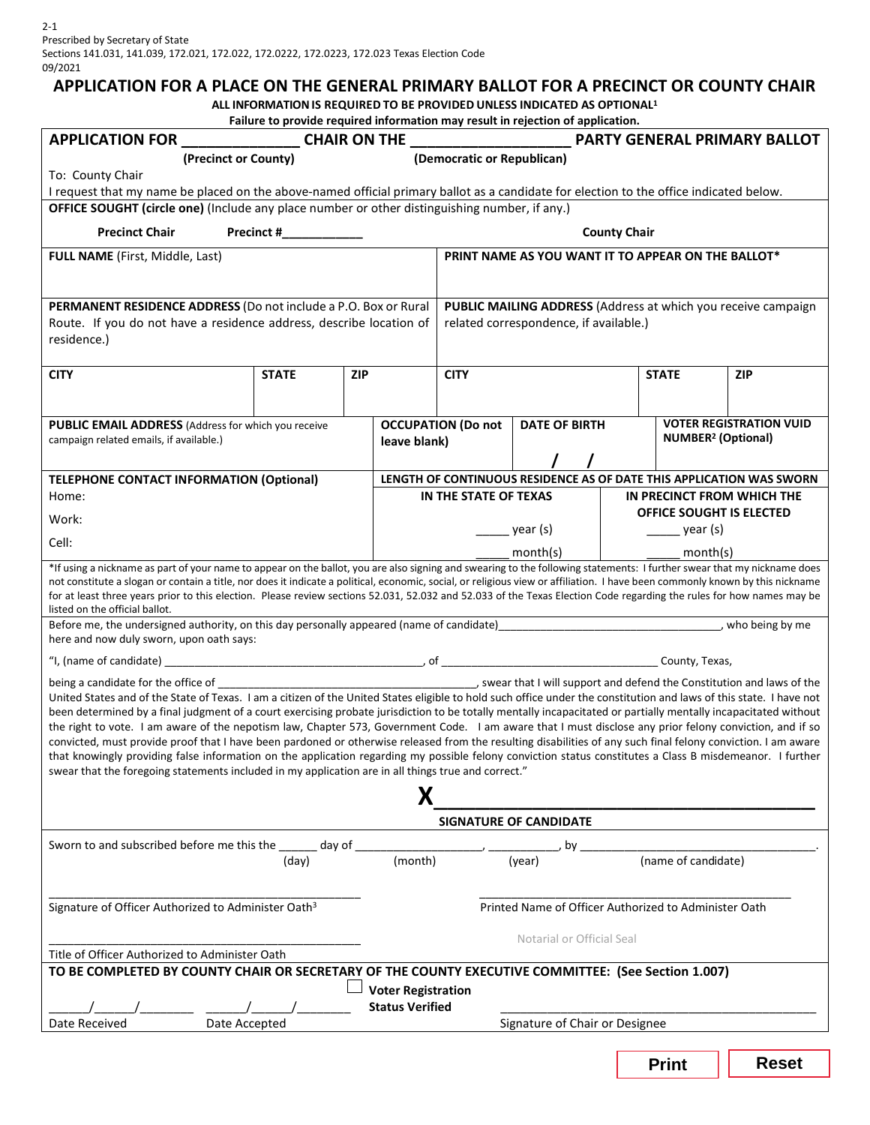#### **APPLICATION FOR A PLACE ON THE GENERAL PRIMARY BALLOT FOR A PRECINCT OR COUNTY CHAIR**

**ALL INFORMATIONIS REQUIRED TO BE PROVIDED UNLESS INDICATED AS OPTIONAL1**

| Failure to provide required information may result in rejection of application.                                                                                                                                                                                                                                                        |                     |            |                                                                      |                                                               |                      |                            |                                                           |              |  |
|----------------------------------------------------------------------------------------------------------------------------------------------------------------------------------------------------------------------------------------------------------------------------------------------------------------------------------------|---------------------|------------|----------------------------------------------------------------------|---------------------------------------------------------------|----------------------|----------------------------|-----------------------------------------------------------|--------------|--|
|                                                                                                                                                                                                                                                                                                                                        |                     |            |                                                                      |                                                               |                      |                            |                                                           |              |  |
| (Democratic or Republican)<br>(Precinct or County)                                                                                                                                                                                                                                                                                     |                     |            |                                                                      |                                                               |                      |                            |                                                           |              |  |
| To: County Chair                                                                                                                                                                                                                                                                                                                       |                     |            |                                                                      |                                                               |                      |                            |                                                           |              |  |
| I request that my name be placed on the above-named official primary ballot as a candidate for election to the office indicated below.<br>OFFICE SOUGHT (circle one) (Include any place number or other distinguishing number, if any.)                                                                                                |                     |            |                                                                      |                                                               |                      |                            |                                                           |              |  |
|                                                                                                                                                                                                                                                                                                                                        |                     |            |                                                                      |                                                               |                      |                            |                                                           |              |  |
| <b>Precinct Chair</b>                                                                                                                                                                                                                                                                                                                  | <b>County Chair</b> |            |                                                                      |                                                               |                      |                            |                                                           |              |  |
| <b>FULL NAME</b> (First, Middle, Last)                                                                                                                                                                                                                                                                                                 |                     |            |                                                                      | PRINT NAME AS YOU WANT IT TO APPEAR ON THE BALLOT*            |                      |                            |                                                           |              |  |
|                                                                                                                                                                                                                                                                                                                                        |                     |            |                                                                      |                                                               |                      |                            |                                                           |              |  |
| <b>PERMANENT RESIDENCE ADDRESS</b> (Do not include a P.O. Box or Rural                                                                                                                                                                                                                                                                 |                     |            |                                                                      | PUBLIC MAILING ADDRESS (Address at which you receive campaign |                      |                            |                                                           |              |  |
| Route. If you do not have a residence address, describe location of                                                                                                                                                                                                                                                                    |                     |            |                                                                      | related correspondence, if available.)                        |                      |                            |                                                           |              |  |
| residence.)                                                                                                                                                                                                                                                                                                                            |                     |            |                                                                      |                                                               |                      |                            |                                                           |              |  |
|                                                                                                                                                                                                                                                                                                                                        |                     |            |                                                                      |                                                               |                      |                            |                                                           |              |  |
| <b>CITY</b>                                                                                                                                                                                                                                                                                                                            | <b>STATE</b>        | <b>ZIP</b> |                                                                      | <b>CITY</b>                                                   |                      |                            | <b>STATE</b>                                              | <b>ZIP</b>   |  |
|                                                                                                                                                                                                                                                                                                                                        |                     |            |                                                                      |                                                               |                      |                            |                                                           |              |  |
| <b>PUBLIC EMAIL ADDRESS</b> (Address for which you receive                                                                                                                                                                                                                                                                             |                     |            |                                                                      | <b>OCCUPATION (Do not</b>                                     | <b>DATE OF BIRTH</b> |                            | <b>VOTER REGISTRATION VUID</b>                            |              |  |
| campaign related emails, if available.)                                                                                                                                                                                                                                                                                                |                     |            | leave blank)                                                         |                                                               |                      |                            | <b>NUMBER<sup>2</sup></b> (Optional)                      |              |  |
|                                                                                                                                                                                                                                                                                                                                        |                     |            |                                                                      |                                                               |                      |                            |                                                           |              |  |
| <b>TELEPHONE CONTACT INFORMATION (Optional)</b>                                                                                                                                                                                                                                                                                        |                     |            | LENGTH OF CONTINUOUS RESIDENCE AS OF DATE THIS APPLICATION WAS SWORN |                                                               |                      |                            |                                                           |              |  |
| Home:                                                                                                                                                                                                                                                                                                                                  |                     |            | IN THE STATE OF TEXAS                                                |                                                               |                      | IN PRECINCT FROM WHICH THE |                                                           |              |  |
| Work:                                                                                                                                                                                                                                                                                                                                  |                     |            | $\frac{1}{\sqrt{2}}$ year (s)                                        |                                                               |                      |                            | OFFICE SOUGHT IS ELECTED<br>$\frac{1}{\sqrt{2}}$ year (s) |              |  |
| Cell:                                                                                                                                                                                                                                                                                                                                  |                     |            | month(s)                                                             |                                                               |                      |                            | month(s)                                                  |              |  |
| *If using a nickname as part of your name to appear on the ballot, you are also signing and swearing to the following statements: I further swear that my nickname does                                                                                                                                                                |                     |            |                                                                      |                                                               |                      |                            |                                                           |              |  |
| not constitute a slogan or contain a title, nor does it indicate a political, economic, social, or religious view or affiliation. I have been commonly known by this nickname                                                                                                                                                          |                     |            |                                                                      |                                                               |                      |                            |                                                           |              |  |
| for at least three years prior to this election. Please review sections 52.031, 52.032 and 52.033 of the Texas Election Code regarding the rules for how names may be<br>listed on the official ballot.                                                                                                                                |                     |            |                                                                      |                                                               |                      |                            |                                                           |              |  |
|                                                                                                                                                                                                                                                                                                                                        |                     |            |                                                                      |                                                               |                      |                            |                                                           |              |  |
| here and now duly sworn, upon oath says:                                                                                                                                                                                                                                                                                               |                     |            |                                                                      |                                                               |                      |                            |                                                           |              |  |
|                                                                                                                                                                                                                                                                                                                                        |                     |            |                                                                      |                                                               |                      |                            |                                                           |              |  |
| being a candidate for the office of the constitution and laws of the constitution and laws of the being a candidate for the office of                                                                                                                                                                                                  |                     |            |                                                                      |                                                               |                      |                            |                                                           |              |  |
| United States and of the State of Texas. I am a citizen of the United States eligible to hold such office under the constitution and laws of this state. I have not<br>been determined by a final judgment of a court exercising probate jurisdiction to be totally mentally incapacitated or partially mentally incapacitated without |                     |            |                                                                      |                                                               |                      |                            |                                                           |              |  |
| the right to vote. I am aware of the nepotism law, Chapter 573, Government Code. I am aware that I must disclose any prior felony conviction, and if so                                                                                                                                                                                |                     |            |                                                                      |                                                               |                      |                            |                                                           |              |  |
| convicted, must provide proof that I have been pardoned or otherwise released from the resulting disabilities of any such final felony conviction. I am aware                                                                                                                                                                          |                     |            |                                                                      |                                                               |                      |                            |                                                           |              |  |
| that knowingly providing false information on the application regarding my possible felony conviction status constitutes a Class B misdemeanor. I further<br>swear that the foregoing statements included in my application are in all things true and correct."                                                                       |                     |            |                                                                      |                                                               |                      |                            |                                                           |              |  |
| Χ                                                                                                                                                                                                                                                                                                                                      |                     |            |                                                                      |                                                               |                      |                            |                                                           |              |  |
|                                                                                                                                                                                                                                                                                                                                        |                     |            |                                                                      |                                                               |                      |                            |                                                           |              |  |
| <b>SIGNATURE OF CANDIDATE</b>                                                                                                                                                                                                                                                                                                          |                     |            |                                                                      |                                                               |                      |                            |                                                           |              |  |
| Sworn to and subscribed before me this the ______ day of                                                                                                                                                                                                                                                                               |                     |            |                                                                      |                                                               | by                   |                            |                                                           |              |  |
|                                                                                                                                                                                                                                                                                                                                        | (day)               |            | (month)                                                              |                                                               | (year)               |                            | (name of candidate)                                       |              |  |
|                                                                                                                                                                                                                                                                                                                                        |                     |            |                                                                      |                                                               |                      |                            |                                                           |              |  |
| Signature of Officer Authorized to Administer Oath <sup>3</sup>                                                                                                                                                                                                                                                                        |                     |            |                                                                      | Printed Name of Officer Authorized to Administer Oath         |                      |                            |                                                           |              |  |
|                                                                                                                                                                                                                                                                                                                                        |                     |            |                                                                      | Notarial or Official Seal                                     |                      |                            |                                                           |              |  |
| Title of Officer Authorized to Administer Oath                                                                                                                                                                                                                                                                                         |                     |            |                                                                      |                                                               |                      |                            |                                                           |              |  |
| TO BE COMPLETED BY COUNTY CHAIR OR SECRETARY OF THE COUNTY EXECUTIVE COMMITTEE: (See Section 1.007)                                                                                                                                                                                                                                    |                     |            |                                                                      |                                                               |                      |                            |                                                           |              |  |
| <b>Voter Registration</b>                                                                                                                                                                                                                                                                                                              |                     |            |                                                                      |                                                               |                      |                            |                                                           |              |  |
| <b>Status Verified</b>                                                                                                                                                                                                                                                                                                                 |                     |            |                                                                      |                                                               |                      |                            |                                                           |              |  |
| Signature of Chair or Designee<br>Date Received<br>Date Accepted                                                                                                                                                                                                                                                                       |                     |            |                                                                      |                                                               |                      |                            |                                                           |              |  |
|                                                                                                                                                                                                                                                                                                                                        |                     |            |                                                                      |                                                               |                      |                            |                                                           |              |  |
|                                                                                                                                                                                                                                                                                                                                        |                     |            |                                                                      |                                                               |                      |                            | <b>Print</b>                                              | <b>Reset</b> |  |